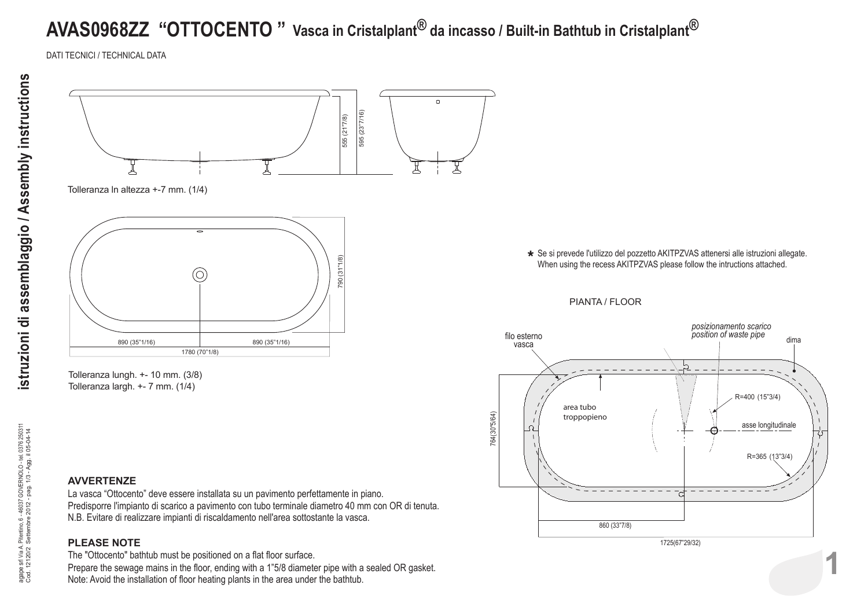## **AVAS0968ZZ "OTTOCENTO " Vasca in Cristalplant® da incasso / Built-in Bathtub in Cristalplant®**

DATI TECNICI / TECHNICAL DATA



Tolleranza ln altezza +-7 mm. (1/4)



Tolleranza lungh. +- 10 mm. (3/8) Tolleranza largh. +- 7 mm. (1/4)

**AVVERTENZE**

La vasca "Ottocento" deve essere installata su un pavimento perfettamente in piano. Predisporre l'impianto di scarico a pavimento con tubo terminale diametro 40 mm con OR di tenuta. N.B. Evitare di realizzare impianti di riscaldamento nell'area sottostante la vasca.

## **PLEASE NOTE**

The "Ottocento" bathtub must be positioned on a flat floor surface. Prepare the sewage mains in the floor, ending with a 1"5/8 diameter pipe with a sealed OR gasket.<br>Note: Avoid the installation of floor heating plants in the area under the bathtub. **\*** Se si prevede l'utilizzo del pozzetto AKITPZVAS attenersi alle istruzioni allegate. When using the recess AKITPZVAS please follow the intructions attached.

PIANTA / FLOOR



istruzioni di assemblaggio / Assembly instructions **istruzioni di assemblaggio / Assembly instructions**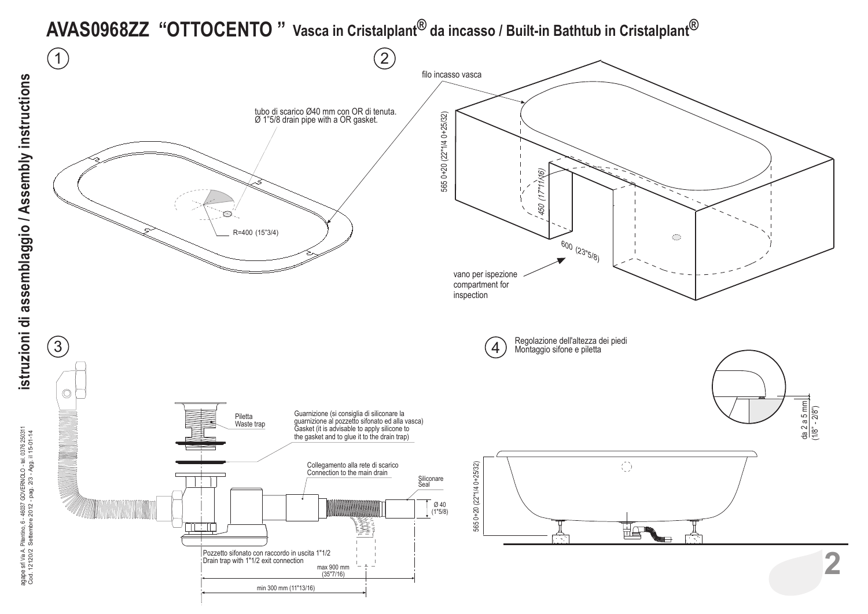## **AVAS0968ZZ "OTTOCENTO " Vasca in Cristalplant® da incasso / Built-in Bathtub in Cristalplant®**